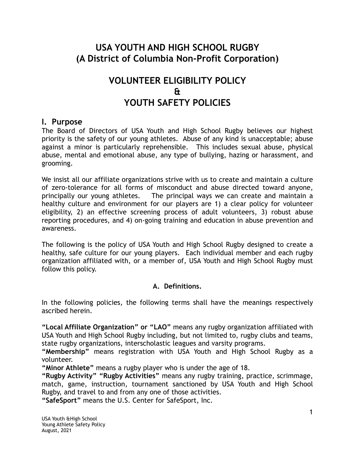# **USA YOUTH AND HIGH SCHOOL RUGBY (A District of Columbia Non-Profit Corporation)**

# **VOLUNTEER ELIGIBILITY POLICY & YOUTH SAFETY POLICIES**

### **I. Purpose**

The Board of Directors of USA Youth and High School Rugby believes our highest priority is the safety of our young athletes. Abuse of any kind is unacceptable; abuse against a minor is particularly reprehensible. This includes sexual abuse, physical abuse, mental and emotional abuse, any type of bullying, hazing or harassment, and grooming.

We insist all our affiliate organizations strive with us to create and maintain a culture of zero-tolerance for all forms of misconduct and abuse directed toward anyone, principally our young athletes. The principal ways we can create and maintain a healthy culture and environment for our players are 1) a clear policy for volunteer eligibility, 2) an effective screening process of adult volunteers, 3) robust abuse reporting procedures, and 4) on-going training and education in abuse prevention and awareness.

The following is the policy of USA Youth and High School Rugby designed to create a healthy, safe culture for our young players. Each individual member and each rugby organization affiliated with, or a member of, USA Youth and High School Rugby must follow this policy.

### **A. Definitions.**

In the following policies, the following terms shall have the meanings respectively ascribed herein.

**"Local Affiliate Organization" or "LAO"** means any rugby organization affiliated with USA Youth and High School Rugby including, but not limited to, rugby clubs and teams, state rugby organizations, interscholastic leagues and varsity programs.

**"Membership"** means registration with USA Youth and High School Rugby as a volunteer.

**"Minor Athlete"** means a rugby player who is under the age of 18.

**"Rugby Activity" "Rugby Activities"** means any rugby training, practice, scrimmage, match, game, instruction, tournament sanctioned by USA Youth and High School Rugby, and travel to and from any one of those activities.

**"SafeSport"** means the U.S. Center for SafeSport, Inc.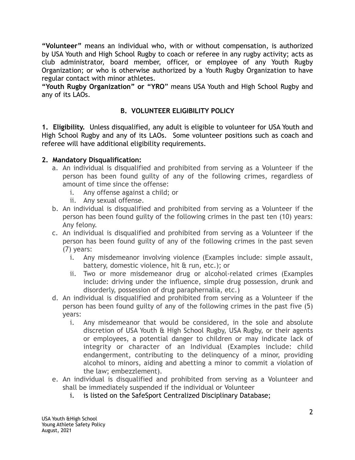**"Volunteer"** means an individual who, with or without compensation, is authorized by USA Youth and High School Rugby to coach or referee in any rugby activity; acts as club administrator, board member, officer, or employee of any Youth Rugby Organization; or who is otherwise authorized by a Youth Rugby Organization to have regular contact with minor athletes.

**"Youth Rugby Organization" or "YRO**" means USA Youth and High School Rugby and any of its LAOs.

## **B. VOLUNTEER ELIGIBILITY POLICY**

**1. Eligibility.** Unless disqualified, any adult is eligible to volunteer for USA Youth and High School Rugby and any of its LAOs. Some volunteer positions such as coach and referee will have additional eligibility requirements.

#### **2. Mandatory Disqualification:**

- a. An individual is disqualified and prohibited from serving as a Volunteer if the person has been found guilty of any of the following crimes, regardless of amount of time since the offense:
	- i. Any offense against a child; or
	- ii. Any sexual offense.
- b. An individual is disqualified and prohibited from serving as a Volunteer if the person has been found guilty of the following crimes in the past ten (10) years: Any felony.
- c. An individual is disqualified and prohibited from serving as a Volunteer if the person has been found guilty of any of the following crimes in the past seven (7) years:
	- i. Any misdemeanor involving violence (Examples include: simple assault, battery, domestic violence, hit & run, etc.); or
	- ii. Two or more misdemeanor drug or alcohol-related crimes (Examples include: driving under the influence, simple drug possession, drunk and disorderly, possession of drug paraphernalia, etc.)
- d. An individual is disqualified and prohibited from serving as a Volunteer if the person has been found guilty of any of the following crimes in the past five (5) years:
	- i. Any misdemeanor that would be considered, in the sole and absolute discretion of USA Youth & High School Rugby, USA Rugby, or their agents or employees, a potential danger to children or may indicate lack of integrity or character of an Individual (Examples include: child endangerment, contributing to the delinquency of a minor, providing alcohol to minors, aiding and abetting a minor to commit a violation of the law; embezzlement).
- e. An individual is disqualified and prohibited from serving as a Volunteer and shall be immediately suspended if the individual or Volunteer
	- i. is listed on the SafeSport Centralized Disciplinary Database;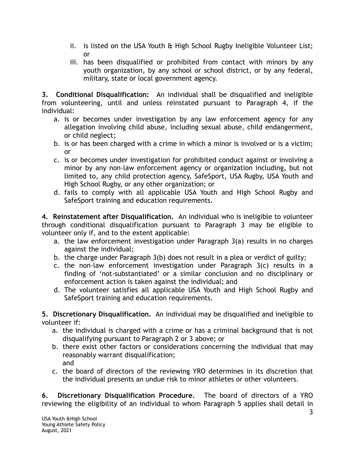- ii. is listed on the USA Youth & High School Rugby Ineligible Volunteer List; or
- iii. has been disqualified or prohibited from contact with minors by any youth organization, by any school or school district, or by any federal, military, state or local government agency.

**3. Conditional Disqualification:** An individual shall be disqualified and ineligible from volunteering, until and unless reinstated pursuant to Paragraph 4, if the individual:

- a. is or becomes under investigation by any law enforcement agency for any allegation involving child abuse, including sexual abuse, child endangerment, or child neglect;
- b. is or has been charged with a crime in which a minor is involved or is a victim; or
- c. is or becomes under investigation for prohibited conduct against or involving a minor by any non-law enforcement agency or organization including, but not limited to, any child protection agency, SafeSport, USA Rugby, USA Youth and High School Rugby, or any other organization; or
- d. fails to comply with all applicable USA Youth and High School Rugby and SafeSport training and education requirements.

**4. Reinstatement after Disqualification.** An individual who is ineligible to volunteer through conditional disqualification pursuant to Paragraph 3 may be eligible to volunteer only if, and to the extent applicable:

- a. the law enforcement investigation under Paragraph 3(a) results in no charges against the individual;
- b. the charge under Paragraph 3(b) does not result in a plea or verdict of guilty;
- c. the non-law enforcement investigation under Paragraph 3(c) results in a finding of 'not-substantiated' or a similar conclusion and no disciplinary or enforcement action is taken against the individual; and
- d. The volunteer satisfies all applicable USA Youth and High School Rugby and SafeSport training and education requirements.

**5. Discretionary Disqualification.** An individual may be disqualified and ineligible to volunteer if:

- a. the individual is charged with a crime or has a criminal background that is not disqualifying pursuant to Paragraph 2 or 3 above; or
- b. there exist other factors or considerations concerning the individual that may reasonably warrant disqualification; and
- c. the board of directors of the reviewing YRO determines in its discretion that the individual presents an undue risk to minor athletes or other volunteers.

**6. Discretionary Disqualification Procedure.** The board of directors of a YRO reviewing the eligibility of an individual to whom Paragraph 5 applies shall detail in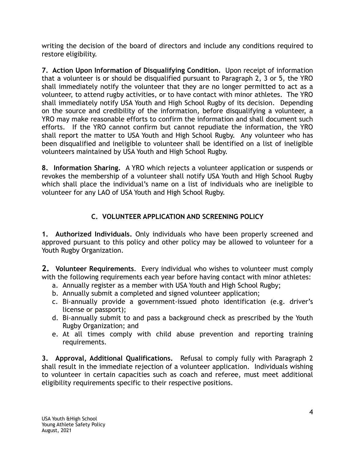writing the decision of the board of directors and include any conditions required to restore eligibility.

**7. Action Upon Information of Disqualifying Condition.** Upon receipt of information that a volunteer is or should be disqualified pursuant to Paragraph 2, 3 or 5, the YRO shall immediately notify the volunteer that they are no longer permitted to act as a volunteer, to attend rugby activities, or to have contact with minor athletes. The YRO shall immediately notify USA Youth and High School Rugby of its decision. Depending on the source and credibility of the information, before disqualifying a volunteer, a YRO may make reasonable efforts to confirm the information and shall document such efforts. If the YRO cannot confirm but cannot repudiate the information, the YRO shall report the matter to USA Youth and High School Rugby. Any volunteer who has been disqualified and ineligible to volunteer shall be identified on a list of ineligible volunteers maintained by USA Youth and High School Rugby.

**8. Information Sharing.** A YRO which rejects a volunteer application or suspends or revokes the membership of a volunteer shall notify USA Youth and High School Rugby which shall place the individual's name on a list of individuals who are ineligible to volunteer for any LAO of USA Youth and High School Rugby.

# **C. VOLUNTEER APPLICATION AND SCREENING POLICY**

**1. Authorized Individuals.** Only individuals who have been properly screened and approved pursuant to this policy and other policy may be allowed to volunteer for a Youth Rugby Organization.

**2. Volunteer Requirements**. Every individual who wishes to volunteer must comply with the following requirements each year before having contact with minor athletes:

- a. Annually register as a member with USA Youth and High School Rugby;
- b. Annually submit a completed and signed volunteer application;
- c. Bi-annually provide a government-issued photo identification (e.g. driver's license or passport);
- d. Bi-annually submit to and pass a background check as prescribed by the Youth Rugby Organization; and
- e. At all times comply with child abuse prevention and reporting training requirements.

**3. Approval, Additional Qualifications.** Refusal to comply fully with Paragraph 2 shall result in the immediate rejection of a volunteer application. Individuals wishing to volunteer in certain capacities such as coach and referee, must meet additional eligibility requirements specific to their respective positions.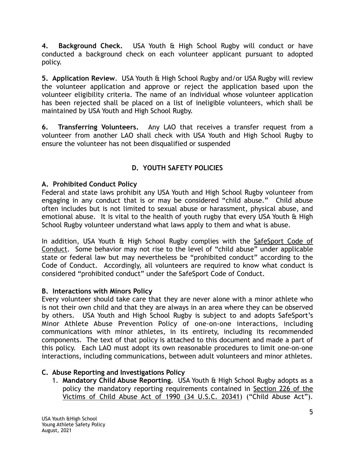**4. Background Check.** USA Youth & High School Rugby will conduct or have conducted a background check on each volunteer applicant pursuant to adopted policy.

**5. Application Review**. USA Youth & High School Rugby and/or USA Rugby will review the volunteer application and approve or reject the application based upon the volunteer eligibility criteria. The name of an individual whose volunteer application has been rejected shall be placed on a list of ineligible volunteers, which shall be maintained by USA Youth and High School Rugby.

**6. Transferring Volunteers.** Any LAO that receives a transfer request from a volunteer from another LAO shall check with USA Youth and High School Rugby to ensure the volunteer has not been disqualified or suspended

# **D. YOUTH SAFETY POLICIES**

### **A. Prohibited Conduct Policy**

Federal and state laws prohibit any USA Youth and High School Rugby volunteer from engaging in any conduct that is or may be considered "child abuse." Child abuse often includes but is not limited to sexual abuse or harassment, physical abuse, and emotional abuse. It is vital to the health of youth rugby that every USA Youth & High School Rugby volunteer understand what laws apply to them and what is abuse.

In addition, USA Youth & High School Rugby complies with the SafeSport Code of Conduct. Some behavior may not rise to the level of "child abuse" under applicable state or federal law but may nevertheless be "prohibited conduct" according to the Code of Conduct. Accordingly, all volunteers are required to know what conduct is considered "prohibited conduct" under the SafeSport Code of Conduct.

### **B. Interactions with Minors Policy**

Every volunteer should take care that they are never alone with a minor athlete who is not their own child and that they are always in an area where they can be observed by others. USA Youth and High School Rugby is subject to and adopts SafeSport's Minor Athlete Abuse Prevention Policy of one-on-one interactions, including communications with minor athletes, in its entirety, including its recommended components. The text of that policy is attached to this document and made a part of this policy. Each LAO must adopt its own reasonable procedures to limit one-on-one interactions, including communications, between adult volunteers and minor athletes.

## **C. Abuse Reporting and Investigations Policy**

1. **Mandatory Child Abuse Reporting.** USA Youth & High School Rugby adopts as a policy the mandatory reporting requirements contained in Section 226 of the Victims of Child Abuse Act of 1990 (34 U.S.C. 20341) ("Child Abuse Act").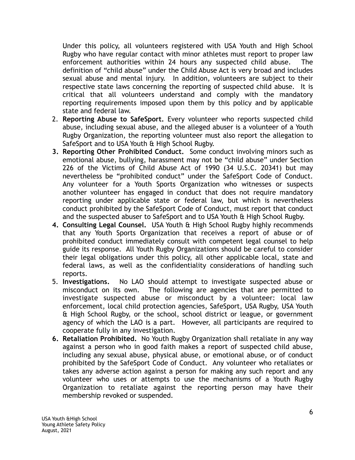Under this policy, all volunteers registered with USA Youth and High School Rugby who have regular contact with minor athletes must report to proper law enforcement authorities within 24 hours any suspected child abuse. The definition of "child abuse" under the Child Abuse Act is very broad and includes sexual abuse and mental injury. In addition, volunteers are subject to their respective state laws concerning the reporting of suspected child abuse. It is critical that all volunteers understand and comply with the mandatory reporting requirements imposed upon them by this policy and by applicable state and federal law.

- 2. **Reporting Abuse to SafeSport.** Every volunteer who reports suspected child abuse, including sexual abuse, and the alleged abuser is a volunteer of a Youth Rugby Organization, the reporting volunteer must also report the allegation to SafeSport and to USA Youth & High School Rugby.
- **3. Reporting Other Prohibited Conduct.** Some conduct involving minors such as emotional abuse, bullying, harassment may not be "child abuse" under Section 226 of the Victims of Child Abuse Act of 1990 (34 U.S.C. 20341) but may nevertheless be "prohibited conduct" under the SafeSport Code of Conduct. Any volunteer for a Youth Sports Organization who witnesses or suspects another volunteer has engaged in conduct that does not require mandatory reporting under applicable state or federal law, but which is nevertheless conduct prohibited by the SafeSport Code of Conduct, must report that conduct and the suspected abuser to SafeSport and to USA Youth & High School Rugby.
- **4. Consulting Legal Counsel.** USA Youth & High School Rugby highly recommends that any Youth Sports Organization that receives a report of abuse or of prohibited conduct immediately consult with competent legal counsel to help guide its response. All Youth Rugby Organizations should be careful to consider their legal obligations under this policy, all other applicable local, state and federal laws, as well as the confidentiality considerations of handling such reports.
- 5. **Investigations.** No LAO should attempt to investigate suspected abuse or misconduct on its own. The following are agencies that are permitted to investigate suspected abuse or misconduct by a volunteer: local law enforcement, local child protection agencies, SafeSport, USA Rugby, USA Youth & High School Rugby, or the school, school district or league, or government agency of which the LAO is a part. However, all participants are required to cooperate fully in any investigation.
- **6. Retaliation Prohibited.** No Youth Rugby Organization shall retaliate in any way against a person who in good faith makes a report of suspected child abuse, including any sexual abuse, physical abuse, or emotional abuse, or of conduct prohibited by the SafeSport Code of Conduct. Any volunteer who retaliates or takes any adverse action against a person for making any such report and any volunteer who uses or attempts to use the mechanisms of a Youth Rugby Organization to retaliate against the reporting person may have their membership revoked or suspended.